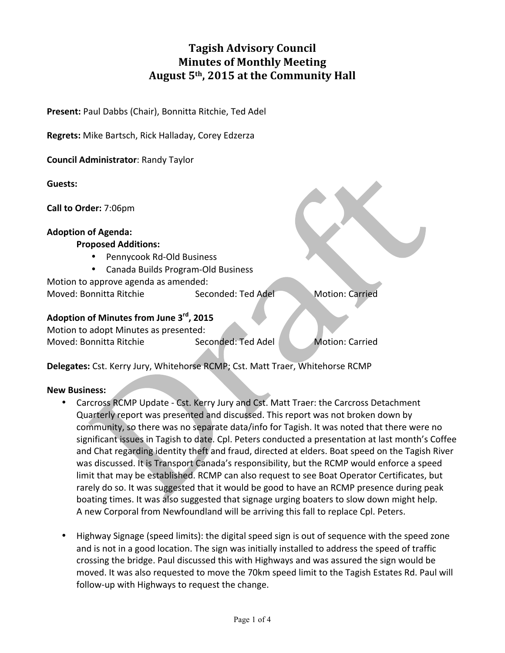# **Tagish Advisory Council Minutes of Monthly Meeting** August 5<sup>th</sup>, 2015 at the Community Hall

**Present:** Paul Dabbs (Chair), Bonnitta Ritchie, Ted Adel

**Regrets:** Mike Bartsch, Rick Halladay, Corey Edzerza

**Council Administrator: Randy Taylor** 

**Guests:**

**Call to Order:** 7:06pm

#### **Adoption of Agenda:**

#### **Proposed Additions:**

- Pennycook Rd-Old Business
- Canada Builds Program-Old Business

Motion to approve agenda as amended: Moved: Bonnitta Ritchie Seconded: Ted Adel Motion: Carried

## **Adoption of Minutes from June 3rd, 2015**

Motion to adopt Minutes as presented: Moved: Bonnitta Ritchie Seconded: Ted Adel Motion: Carried

Delegates: Cst. Kerry Jury, Whitehorse RCMP; Cst. Matt Traer, Whitehorse RCMP

#### **New Business:**

- Carcross RCMP Update Cst. Kerry Jury and Cst. Matt Traer: the Carcross Detachment Quarterly report was presented and discussed. This report was not broken down by community, so there was no separate data/info for Tagish. It was noted that there were no significant issues in Tagish to date. Cpl. Peters conducted a presentation at last month's Coffee and Chat regarding identity theft and fraud, directed at elders. Boat speed on the Tagish River was discussed. It is Transport Canada's responsibility, but the RCMP would enforce a speed limit that may be established. RCMP can also request to see Boat Operator Certificates, but rarely do so. It was suggested that it would be good to have an RCMP presence during peak boating times. It was also suggested that signage urging boaters to slow down might help. A new Corporal from Newfoundland will be arriving this fall to replace Cpl. Peters.
- Highway Signage (speed limits): the digital speed sign is out of sequence with the speed zone and is not in a good location. The sign was initially installed to address the speed of traffic crossing the bridge. Paul discussed this with Highways and was assured the sign would be moved. It was also requested to move the 70km speed limit to the Tagish Estates Rd. Paul will follow-up with Highways to request the change.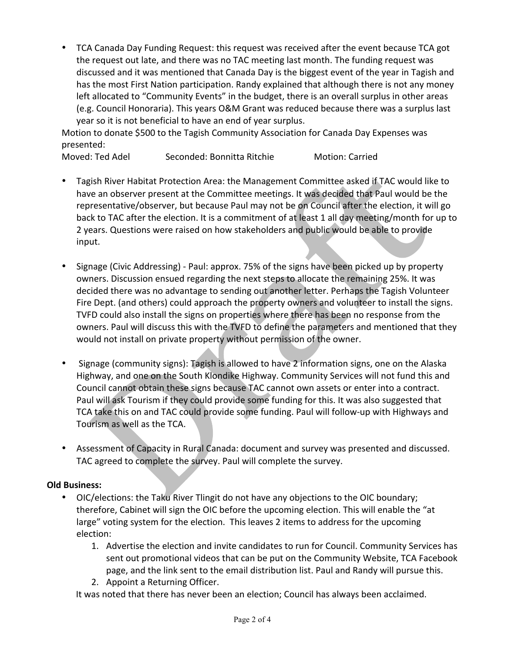• TCA Canada Day Funding Request: this request was received after the event because TCA got the request out late, and there was no TAC meeting last month. The funding request was discussed and it was mentioned that Canada Day is the biggest event of the year in Tagish and has the most First Nation participation. Randy explained that although there is not any money left allocated to "Community Events" in the budget, there is an overall surplus in other areas (e.g. Council Honoraria). This years O&M Grant was reduced because there was a surplus last year so it is not beneficial to have an end of year surplus.

Motion to donate \$500 to the Tagish Community Association for Canada Day Expenses was presented:

Moved: Ted Adel Seconded: Bonnitta Ritchie Motion: Carried

- Tagish River Habitat Protection Area: the Management Committee asked if TAC would like to have an observer present at the Committee meetings. It was decided that Paul would be the representative/observer, but because Paul may not be on Council after the election, it will go back to TAC after the election. It is a commitment of at least 1 all day meeting/month for up to 2 years. Questions were raised on how stakeholders and public would be able to provide input.
- Signage (Civic Addressing) Paul: approx. 75% of the signs have been picked up by property owners. Discussion ensued regarding the next steps to allocate the remaining 25%. It was decided there was no advantage to sending out another letter. Perhaps the Tagish Volunteer Fire Dept. (and others) could approach the property owners and volunteer to install the signs. TVFD could also install the signs on properties where there has been no response from the owners. Paul will discuss this with the TVFD to define the parameters and mentioned that they would not install on private property without permission of the owner.
- Signage (community signs): Tagish is allowed to have 2 information signs, one on the Alaska Highway, and one on the South Klondike Highway. Community Services will not fund this and Council cannot obtain these signs because TAC cannot own assets or enter into a contract. Paul will ask Tourism if they could provide some funding for this. It was also suggested that TCA take this on and TAC could provide some funding. Paul will follow-up with Highways and Tourism as well as the TCA.
- Assessment of Capacity in Rural Canada: document and survey was presented and discussed. TAC agreed to complete the survey. Paul will complete the survey.

# **Old Business:**

- OIC/elections: the Taku River Tlingit do not have any objections to the OIC boundary; therefore, Cabinet will sign the OIC before the upcoming election. This will enable the "at large" voting system for the election. This leaves 2 items to address for the upcoming election:
	- 1. Advertise the election and invite candidates to run for Council. Community Services has sent out promotional videos that can be put on the Community Website, TCA Facebook page, and the link sent to the email distribution list. Paul and Randy will pursue this.
	- 2. Appoint a Returning Officer.

It was noted that there has never been an election; Council has always been acclaimed.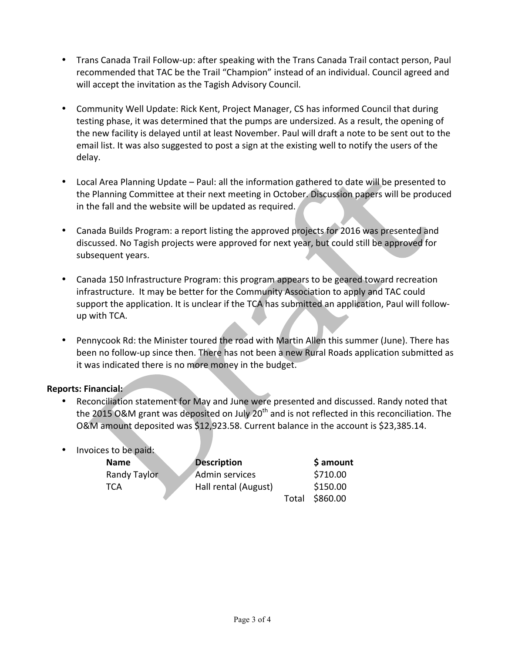- Trans Canada Trail Follow-up: after speaking with the Trans Canada Trail contact person, Paul recommended that TAC be the Trail "Champion" instead of an individual. Council agreed and will accept the invitation as the Tagish Advisory Council.
- Community Well Update: Rick Kent, Project Manager, CS has informed Council that during testing phase, it was determined that the pumps are undersized. As a result, the opening of the new facility is delayed until at least November. Paul will draft a note to be sent out to the email list. It was also suggested to post a sign at the existing well to notify the users of the delay.
- Local Area Planning Update Paul: all the information gathered to date will be presented to the Planning Committee at their next meeting in October. Discussion papers will be produced in the fall and the website will be updated as required.
- Canada Builds Program: a report listing the approved projects for 2016 was presented and discussed. No Tagish projects were approved for next year, but could still be approved for subsequent years.
- Canada 150 Infrastructure Program: this program appears to be geared toward recreation infrastructure. It may be better for the Community Association to apply and TAC could support the application. It is unclear if the TCA has submitted an application, Paul will followup with TCA.
- Pennycook Rd: the Minister toured the road with Martin Allen this summer (June). There has been no follow-up since then. There has not been a new Rural Roads application submitted as it was indicated there is no more money in the budget.

# **Reports: Financial:**

- Reconciliation statement for May and June were presented and discussed. Randy noted that the 2015 O&M grant was deposited on July  $20<sup>th</sup>$  and is not reflected in this reconciliation. The O&M amount deposited was \$12,923.58. Current balance in the account is \$23,385.14.
- Invoices to be paid:

| <b>Name</b>  | <b>Description</b>    |       | \$ amount |
|--------------|-----------------------|-------|-----------|
| Randy Taylor | <b>Admin services</b> |       | \$710.00  |
| TCA          | Hall rental (August)  |       | \$150.00  |
|              |                       | Total | \$860.00  |